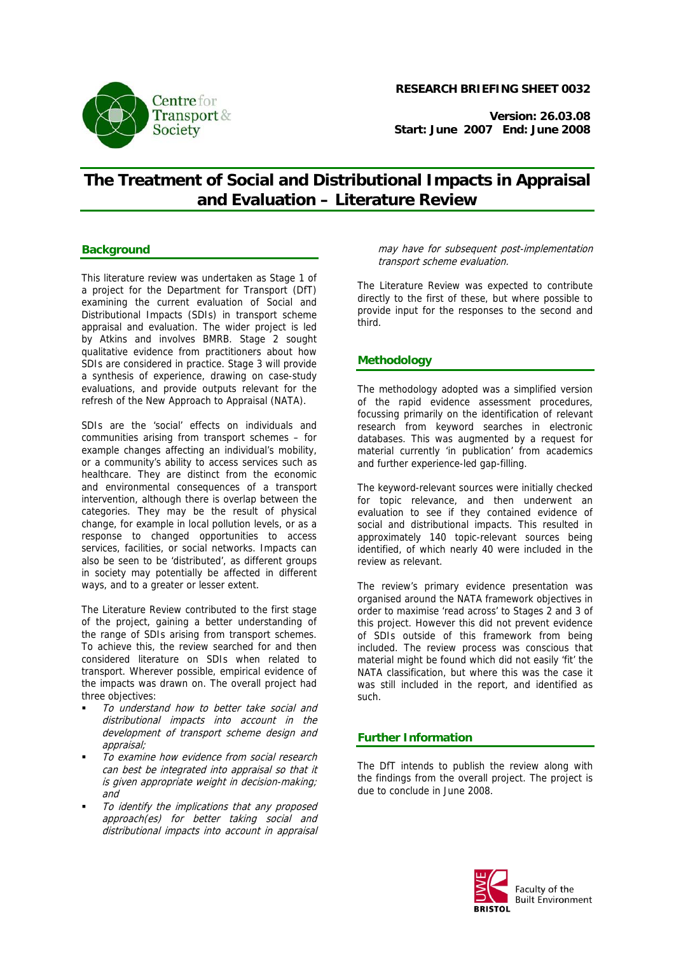

### **RESEARCH BRIEFING SHEET 0032**

**Version: 26.03.08 Start: June 2007 End: June 2008**

# **The Treatment of Social and Distributional Impacts in Appraisal and Evaluation – Literature Review**

## **Background**

This literature review was undertaken as Stage 1 of a project for the Department for Transport (DfT) examining the current evaluation of Social and Distributional Impacts (SDIs) in transport scheme appraisal and evaluation. The wider project is led by Atkins and involves BMRB. Stage 2 sought qualitative evidence from practitioners about how SDIs are considered in practice. Stage 3 will provide a synthesis of experience, drawing on case-study evaluations, and provide outputs relevant for the refresh of the New Approach to Appraisal (NATA).

SDIs are the 'social' effects on individuals and communities arising from transport schemes – for example changes affecting an individual's mobility, or a community's ability to access services such as healthcare. They are distinct from the economic and environmental consequences of a transport intervention, although there is overlap between the categories. They may be the result of physical change, for example in local pollution levels, or as a response to changed opportunities to access services, facilities, or social networks. Impacts can also be seen to be 'distributed', as different groups in society may potentially be affected in different ways, and to a greater or lesser extent.

The Literature Review contributed to the first stage of the project, gaining a better understanding of the range of SDIs arising from transport schemes. To achieve this, the review searched for and then considered literature on SDIs when related to transport. Wherever possible, empirical evidence of the impacts was drawn on. The overall project had three objectives:

- To understand how to better take social and distributional impacts into account in the development of transport scheme design and appraisal;
- To examine how evidence from social research can best be integrated into appraisal so that it is given appropriate weight in decision-making; and
- To identify the implications that any proposed approach(es) for better taking social and distributional impacts into account in appraisal

may have for subsequent post-implementation transport scheme evaluation.

The Literature Review was expected to contribute directly to the first of these, but where possible to provide input for the responses to the second and third.

## **Methodology**

The methodology adopted was a simplified version of the rapid evidence assessment procedures, focussing primarily on the identification of relevant research from keyword searches in electronic databases. This was augmented by a request for material currently 'in publication' from academics and further experience-led gap-filling.

The keyword-relevant sources were initially checked for topic relevance, and then underwent an evaluation to see if they contained evidence of social and distributional impacts. This resulted in approximately 140 topic-relevant sources being identified, of which nearly 40 were included in the review as relevant.

The review's primary evidence presentation was organised around the NATA framework objectives in order to maximise 'read across' to Stages 2 and 3 of this project. However this did not prevent evidence of SDIs outside of this framework from being included. The review process was conscious that material might be found which did not easily 'fit' the NATA classification, but where this was the case it was still included in the report, and identified as such.

## **Further Information**

The DfT intends to publish the review along with the findings from the overall project. The project is due to conclude in June 2008.